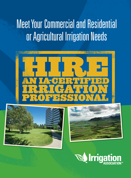## Meet Your Commercial and Residential or Agricultural Irrigation Needs







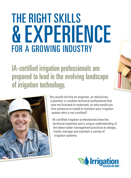# **THE RIGHT SKILLS** & Experience for a Growing Industry

IA-certified irrigation professionals are prepared to lead in the evolving landscape of irrigation technology.



You would not hire an engineer, an electrician, a plumber or another technical professional that was not licensed or endorsed, so why would you hire someone to install or maintain your irrigation system who is not certified?

IA-certified irrigation professionals have the technical expertise and a unique understanding of the latest water management practices to design, install, manage and maintain a variety of irrigation systems.

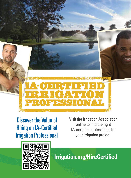





**Irrigation.org/HireCertified**

**\-CERTIFIED<br>RRIGATION<br>ROFESSIONAL**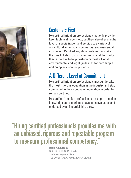

#### Customers First

IA-certified irrigation professionals not only provide keen technical know-how, but they also offer a higher level of specialization and service to a variety of agricultural, municipal, commercial and residential customers. Certified irrigation professionals take the time to listen to customer needs, and then tailor their expertise to help customers meet all local environmental and legal guidelines for both simple and complex irrigation projects.

#### A Different Level of Commitment

IA-certified irrigation professionals must undertake the most rigorous education in the industry and stay committed to their continuing education in order to remain certified.

IA-certified irrigation professionals' in-depth irrigation knowledge and experience have been evaluated and endorsed by an impartial third party.

#### " Hiring certified professionals provides me with an unbiased, rigorous and repeatable program to measure professional competency.

—**Denis K. Gourdeau** CID, CIC, CLIA, CGIA, CLWM *Water Management Lead The City of Calgary Parks, Alberta, Canada*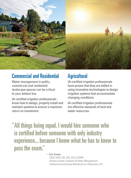

#### Commercial and Residential

Water management in public, commercial and residential landscape spaces can be critical to your bottom line.

IA-certified irrigation professionals know how to design, properly install and maintain systems to ensure a maximum return on investment.

#### **Agricultural**

IA-certified irrigation professionals have proven that they are skilled in using innovative technologies to design irrigation systems that accommodate changing conditions.

IA-certified irrigation professionals are effective stewards of land and water resources.

" All things being equal, I would hire someone who is certified before someone with only industry experience... because I know what he has to know to pass the exam."

**—Eric Santos**

CAIS, CGIA, CIC, CID, CLIA, CLWM *Division Leader, Irrigation & Water Management ValleyCrest Landscape Maintenance, Pleasanton, CA*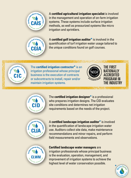

A **certified agricultural irrigation specialist** is involved in the management and operation of on-farm irrigation systems. These systems include surface irrigation methods, as well as pressurized systems like micro irrigation and sprinklers.



A **certified golf irrigation auditor\*** is involved in the quantification of turf irrigation water usage tailored to the unique conditions found on golf courses.



The **certified irrigation contractor\*** is an irrigation professional whose principal business is the execution of contracts or subcontracts to install, repair and/or maintain irrigation systems.



The First Nationally Accredited Program in the Industry



The **certified irrigation designer\*** is a professional who prepares irrigation designs. The CID evaluates site conditions and determines net irrigation requirements based on the needs of the project.



A **certified landscape irrigation auditor\*** is involved in the quantification of landscape irrigation water use. Auditors collect site data, make maintenance recommendations and minor repairs, and perform field measurements and observations.



#### **Certified landscape water managers** are

irrigation professionals whose principal business is the evaluation, operation, management, and improvement of irrigation systems to achieve the highest level of water conservation possible.

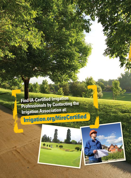**Find IA-Certified Irrigation Professionals by Contacting the Irrigation Association at:**

## **Irrigation.org/HireCertified**